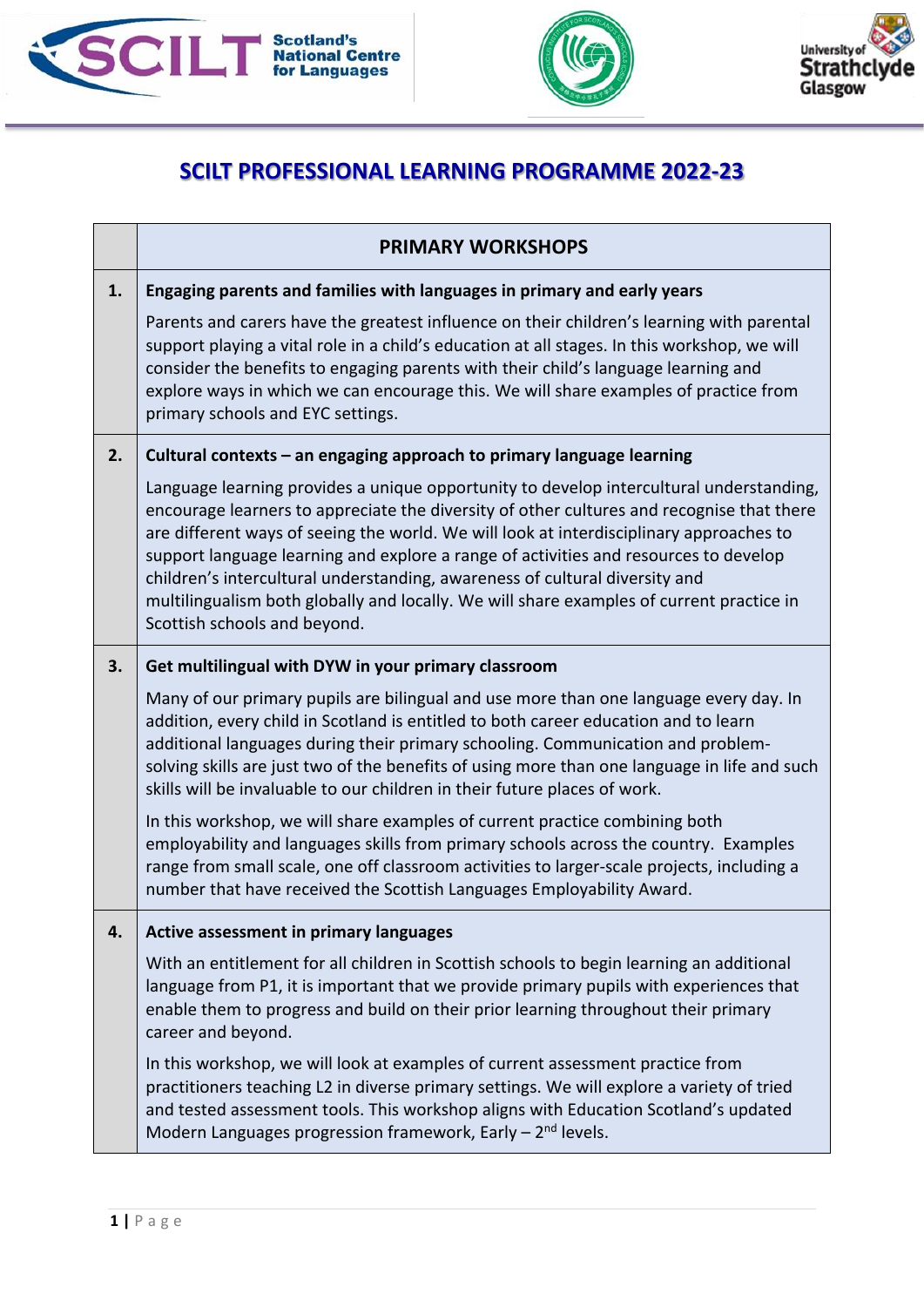





## **SCILT PROFESSIONAL LEARNING PROGRAMME 2022-23**

|    | <b>PRIMARY WORKSHOPS</b>                                                                                                                                                                                                                                                                                                                                                                                                                                                                                                                                                           |
|----|------------------------------------------------------------------------------------------------------------------------------------------------------------------------------------------------------------------------------------------------------------------------------------------------------------------------------------------------------------------------------------------------------------------------------------------------------------------------------------------------------------------------------------------------------------------------------------|
| 1. | Engaging parents and families with languages in primary and early years                                                                                                                                                                                                                                                                                                                                                                                                                                                                                                            |
|    | Parents and carers have the greatest influence on their children's learning with parental<br>support playing a vital role in a child's education at all stages. In this workshop, we will<br>consider the benefits to engaging parents with their child's language learning and<br>explore ways in which we can encourage this. We will share examples of practice from<br>primary schools and EYC settings.                                                                                                                                                                       |
| 2. | Cultural contexts - an engaging approach to primary language learning                                                                                                                                                                                                                                                                                                                                                                                                                                                                                                              |
|    | Language learning provides a unique opportunity to develop intercultural understanding,<br>encourage learners to appreciate the diversity of other cultures and recognise that there<br>are different ways of seeing the world. We will look at interdisciplinary approaches to<br>support language learning and explore a range of activities and resources to develop<br>children's intercultural understanding, awareness of cultural diversity and<br>multilingualism both globally and locally. We will share examples of current practice in<br>Scottish schools and beyond. |
| 3. | Get multilingual with DYW in your primary classroom                                                                                                                                                                                                                                                                                                                                                                                                                                                                                                                                |
|    | Many of our primary pupils are bilingual and use more than one language every day. In<br>addition, every child in Scotland is entitled to both career education and to learn<br>additional languages during their primary schooling. Communication and problem-<br>solving skills are just two of the benefits of using more than one language in life and such<br>skills will be invaluable to our children in their future places of work.                                                                                                                                       |
|    | In this workshop, we will share examples of current practice combining both<br>employability and languages skills from primary schools across the country. Examples<br>range from small scale, one off classroom activities to larger-scale projects, including a<br>number that have received the Scottish Languages Employability Award.                                                                                                                                                                                                                                         |
| 4. | Active assessment in primary languages                                                                                                                                                                                                                                                                                                                                                                                                                                                                                                                                             |
|    | With an entitlement for all children in Scottish schools to begin learning an additional<br>language from P1, it is important that we provide primary pupils with experiences that<br>enable them to progress and build on their prior learning throughout their primary<br>career and beyond.                                                                                                                                                                                                                                                                                     |
|    | In this workshop, we will look at examples of current assessment practice from<br>practitioners teaching L2 in diverse primary settings. We will explore a variety of tried<br>and tested assessment tools. This workshop aligns with Education Scotland's updated<br>Modern Languages progression framework, Early $-2nd$ levels.                                                                                                                                                                                                                                                 |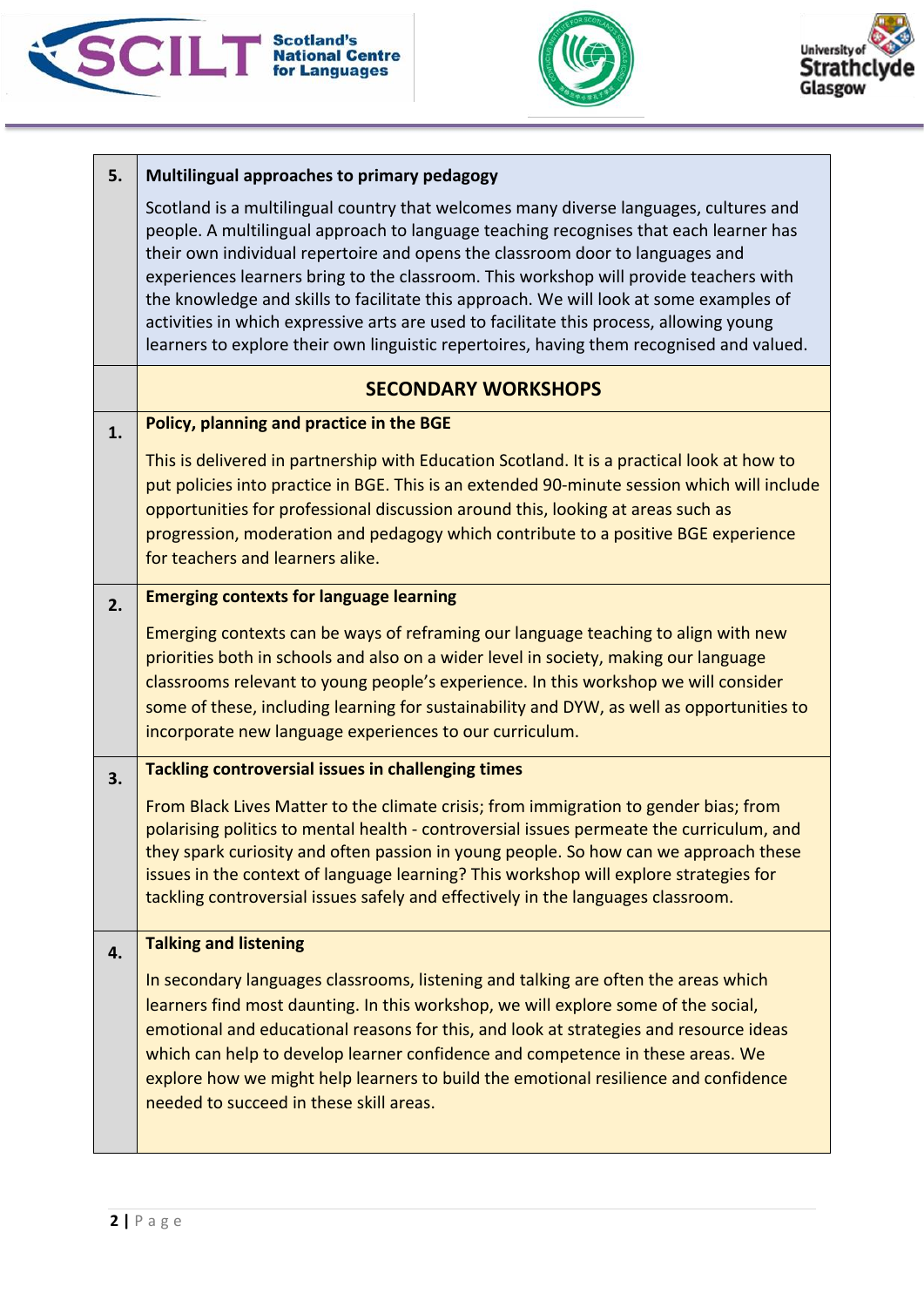





| 5. | Multilingual approaches to primary pedagogy                                                                                                                                                                                                                                                                                                                                                                                                                                                                                                                                                                                               |
|----|-------------------------------------------------------------------------------------------------------------------------------------------------------------------------------------------------------------------------------------------------------------------------------------------------------------------------------------------------------------------------------------------------------------------------------------------------------------------------------------------------------------------------------------------------------------------------------------------------------------------------------------------|
|    | Scotland is a multilingual country that welcomes many diverse languages, cultures and<br>people. A multilingual approach to language teaching recognises that each learner has<br>their own individual repertoire and opens the classroom door to languages and<br>experiences learners bring to the classroom. This workshop will provide teachers with<br>the knowledge and skills to facilitate this approach. We will look at some examples of<br>activities in which expressive arts are used to facilitate this process, allowing young<br>learners to explore their own linguistic repertoires, having them recognised and valued. |
|    | <b>SECONDARY WORKSHOPS</b>                                                                                                                                                                                                                                                                                                                                                                                                                                                                                                                                                                                                                |
| 1. | Policy, planning and practice in the BGE                                                                                                                                                                                                                                                                                                                                                                                                                                                                                                                                                                                                  |
|    | This is delivered in partnership with Education Scotland. It is a practical look at how to<br>put policies into practice in BGE. This is an extended 90-minute session which will include<br>opportunities for professional discussion around this, looking at areas such as<br>progression, moderation and pedagogy which contribute to a positive BGE experience<br>for teachers and learners alike.                                                                                                                                                                                                                                    |
| 2. | <b>Emerging contexts for language learning</b>                                                                                                                                                                                                                                                                                                                                                                                                                                                                                                                                                                                            |
|    | Emerging contexts can be ways of reframing our language teaching to align with new<br>priorities both in schools and also on a wider level in society, making our language<br>classrooms relevant to young people's experience. In this workshop we will consider<br>some of these, including learning for sustainability and DYW, as well as opportunities to<br>incorporate new language experiences to our curriculum.                                                                                                                                                                                                                 |
| 3. | <b>Tackling controversial issues in challenging times</b>                                                                                                                                                                                                                                                                                                                                                                                                                                                                                                                                                                                 |
|    | From Black Lives Matter to the climate crisis; from immigration to gender bias; from<br>polarising politics to mental health - controversial issues permeate the curriculum, and<br>they spark curiosity and often passion in young people. So how can we approach these<br>issues in the context of language learning? This workshop will explore strategies for<br>tackling controversial issues safely and effectively in the languages classroom.                                                                                                                                                                                     |
| 4. | <b>Talking and listening</b>                                                                                                                                                                                                                                                                                                                                                                                                                                                                                                                                                                                                              |
|    | In secondary languages classrooms, listening and talking are often the areas which<br>learners find most daunting. In this workshop, we will explore some of the social,<br>emotional and educational reasons for this, and look at strategies and resource ideas<br>which can help to develop learner confidence and competence in these areas. We<br>explore how we might help learners to build the emotional resilience and confidence<br>needed to succeed in these skill areas.                                                                                                                                                     |